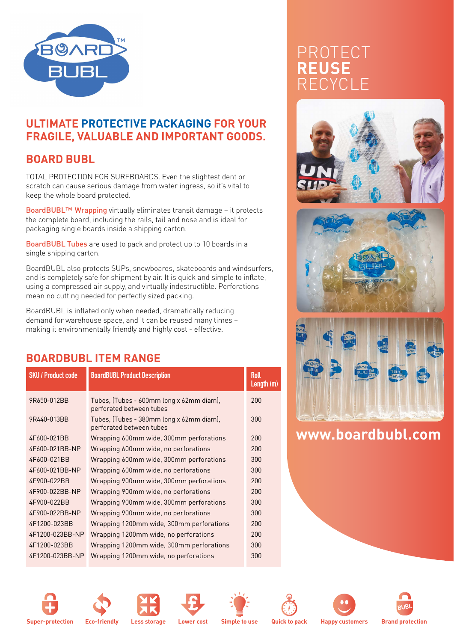

#### **ULTIMATE PROTECTIVE PACKAGING FOR YOUR FRAGILE, VALUABLE AND IMPORTANT GOODS.**

## **BOARD BUBL**

TOTAL PROTECTION FOR SURFBOARDS. Even the slightest dent or scratch can cause serious damage from water ingress, so it's vital to keep the whole board protected.

BoardBUBL™ Wrapping virtually eliminates transit damage – it protects the complete board, including the rails, tail and nose and is ideal for packaging single boards inside a shipping carton.

BoardBUBL Tubes are used to pack and protect up to 10 boards in a single shipping carton.

BoardBUBL also protects SUPs, snowboards, skateboards and windsurfers, and is completely safe for shipment by air. It is quick and simple to inflate, using a compressed air supply, and virtually indestructible. Perforations mean no cutting needed for perfectly sized packing.

BoardBUBL is inflated only when needed, dramatically reducing demand for warehouse space, and it can be reused many times – making it environmentally friendly and highly cost - effective.

### **BOARDBUBL ITEM RANGE**

| <b>SKU / Product code</b> | <b>BoardBUBL Product Description</b>                                 | <b>Roll</b><br>Length (m) |
|---------------------------|----------------------------------------------------------------------|---------------------------|
| 9R650-012BB               | Tubes, (Tubes - 600mm long x 62mm diam),<br>perforated between tubes | 200                       |
| 9R440-013BB               | Tubes, (Tubes - 380mm long x 62mm diam),<br>perforated between tubes | 300                       |
| 4F600-021BB               | Wrapping 600mm wide, 300mm perforations                              | 200                       |
| 4F600-021BB-NP            | Wrapping 600mm wide, no perforations                                 | 200                       |
| 4F600-021BB               | Wrapping 600mm wide, 300mm perforations                              | 300                       |
| 4F600-021BB-NP            | Wrapping 600mm wide, no perforations                                 | 300                       |
| 4F900-022BB               | Wrapping 900mm wide, 300mm perforations                              | 200                       |
| 4F900-022BB-NP            | Wrapping 900mm wide, no perforations                                 | 200                       |
| 4F900-022BB               | Wrapping 900mm wide, 300mm perforations                              | 300                       |
| 4F900-022BB-NP            | Wrapping 900mm wide, no perforations                                 | 300                       |
| 4F1200-023BB              | Wrapping 1200mm wide, 300mm perforations                             | 200                       |
| 4F1200-023BB-NP           | Wrapping 1200mm wide, no perforations                                | 200                       |
| 4F1200-023BB              | Wrapping 1200mm wide, 300mm perforations                             | 300                       |
| 4F1200-023BB-NP           | Wrapping 1200mm wide, no perforations                                | 300                       |
|                           |                                                                      |                           |

# PROTECT **REUSE** RECYCLE







# **www.boardbubl.com**